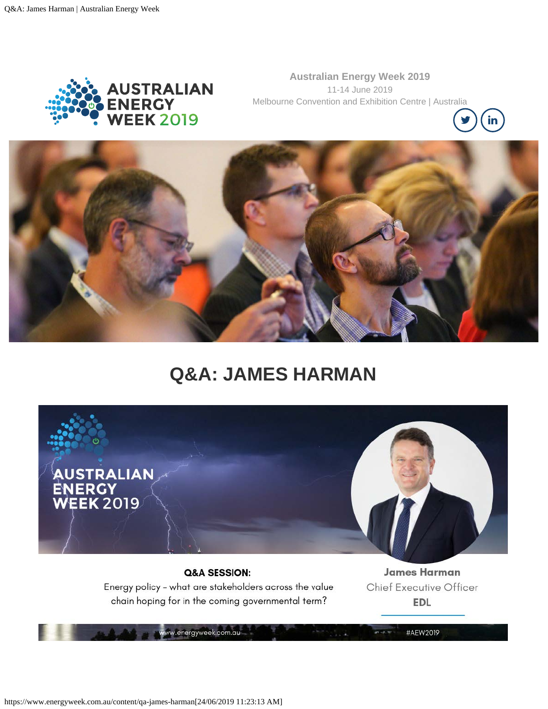

**Australian Energy Week 2019** 11-14 June 2019 Melbourne Convention and Exhibition Centre | Australia





# **Q&A: JAMES HARMAN**



### Q&A SESSION: Energy policy - what are stakeholders across the value chain hoping for in the coming governmental term?

w.energyweek.com.au

**James Harman** Chief Executive Officer **EDL** 

#AEW2019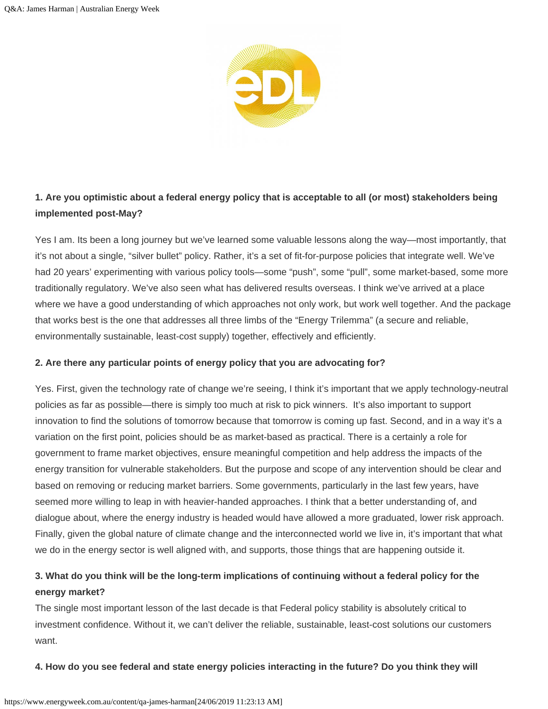

# **1. Are you optimistic about a federal energy policy that is acceptable to all (or most) stakeholders being implemented post-May?**

Yes I am. Its been a long journey but we've learned some valuable lessons along the way—most importantly, that it's not about a single, "silver bullet" policy. Rather, it's a set of fit-for-purpose policies that integrate well. We've had 20 years' experimenting with various policy tools—some "push", some "pull", some market-based, some more traditionally regulatory. We've also seen what has delivered results overseas. I think we've arrived at a place where we have a good understanding of which approaches not only work, but work well together. And the package that works best is the one that addresses all three limbs of the "Energy Trilemma" (a secure and reliable, environmentally sustainable, least-cost supply) together, effectively and efficiently.

#### **2. Are there any particular points of energy policy that you are advocating for?**

Yes. First, given the technology rate of change we're seeing, I think it's important that we apply technology-neutral policies as far as possible—there is simply too much at risk to pick winners. It's also important to support innovation to find the solutions of tomorrow because that tomorrow is coming up fast. Second, and in a way it's a variation on the first point, policies should be as market-based as practical. There is a certainly a role for government to frame market objectives, ensure meaningful competition and help address the impacts of the energy transition for vulnerable stakeholders. But the purpose and scope of any intervention should be clear and based on removing or reducing market barriers. Some governments, particularly in the last few years, have seemed more willing to leap in with heavier-handed approaches. I think that a better understanding of, and dialogue about, where the energy industry is headed would have allowed a more graduated, lower risk approach. Finally, given the global nature of climate change and the interconnected world we live in, it's important that what we do in the energy sector is well aligned with, and supports, those things that are happening outside it.

## **3. What do you think will be the long-term implications of continuing without a federal policy for the energy market?**

The single most important lesson of the last decade is that Federal policy stability is absolutely critical to investment confidence. Without it, we can't deliver the reliable, sustainable, least-cost solutions our customers want.

#### **4. How do you see federal and state energy policies interacting in the future? Do you think they will**